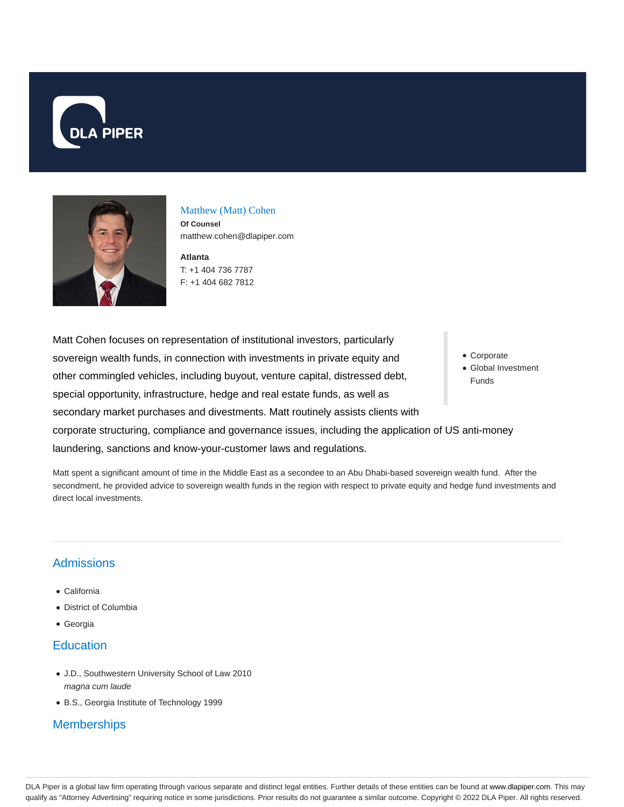



## Matthew (Matt) Cohen

**Of Counsel** matthew.cohen@dlapiper.com

**Atlanta** T: +1 404 736 7787 F: +1 404 682 7812

Matt Cohen focuses on representation of institutional investors, particularly sovereign wealth funds, in connection with investments in private equity and other commingled vehicles, including buyout, venture capital, distressed debt, special opportunity, infrastructure, hedge and real estate funds, as well as secondary market purchases and divestments. Matt routinely assists clients with corporate structuring, compliance and governance issues, including the application of US anti-money laundering, sanctions and know-your-customer laws and regulations.

Matt spent a significant amount of time in the Middle East as a secondee to an Abu Dhabi-based sovereign wealth fund. After the secondment, he provided advice to sovereign wealth funds in the region with respect to private equity and hedge fund investments and direct local investments.

## **Admissions**

- California
- District of Columbia
- Georgia

## **Education**

- J.D., Southwestern University School of Law 2010 magna cum laude
- B.S., Georgia Institute of Technology 1999

## **Memberships**

- Corporate
- Global Investment Funds